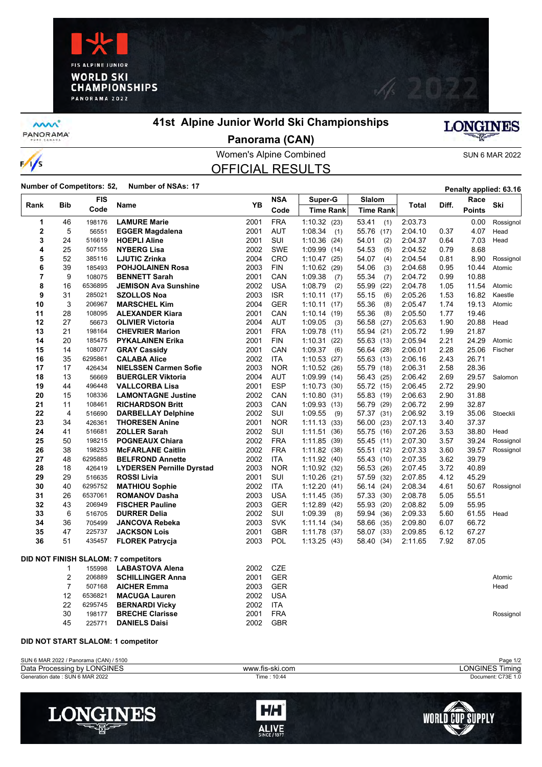



**MW** PANORAMA<sup>-</sup>

/s  $\overline{\phantom{a}}$ 

## **41st Alpine Junior World Ski Championships**



**Panorama (CAN)**

### Women's Alpine Combined SUN 6 MAR 2022 OFFICIAL RESULTS

**Number of Competitors: 52, Number of NSAs: 17 Penalty applied: 63.16** 

| Rank                                        | <b>Bib</b>     | <b>FIS</b><br>Code | Name                                       | YB           | <b>NSA</b>               | Super-G                           | Slalom                   |                    | Diff.<br>Total | Race           | Ski       |
|---------------------------------------------|----------------|--------------------|--------------------------------------------|--------------|--------------------------|-----------------------------------|--------------------------|--------------------|----------------|----------------|-----------|
|                                             |                |                    |                                            |              | Code                     | <b>Time Rank</b>                  | <b>Time Rank</b>         |                    |                | <b>Points</b>  |           |
| 1                                           | 46             | 198176             | <b>LAMURE Marie</b>                        | 2001         | <b>FRA</b>               | 1:10.32(23)                       | 53.41<br>(1)             | 2:03.73            |                | 0.00           | Rossignol |
| 2                                           | 5              | 56551              | <b>EGGER Magdalena</b>                     | 2001         | <b>AUT</b>               | 1:08.34<br>(1)                    | 55.76 (17)               | 2:04.10            | 0.37           | 4.07           | Head      |
| 3                                           | 24             | 516619             | <b>HOEPLI Aline</b>                        | 2001         | <b>SUI</b>               | 1:10.36<br>(24)                   | 54.01<br>(2)             | 2:04.37            | 0.64           | 7.03           | Head      |
| 4                                           | 25             | 507155             | <b>NYBERG Lisa</b>                         | 2002         | <b>SWE</b>               | 1:09.99<br>(14)                   | 54.53<br>(5)             | 2:04.52            | 0.79           | 8.68           |           |
| 5                                           | 52             | 385116             | <b>LJUTIC Zrinka</b>                       | 2004         | <b>CRO</b>               | 1:10.47<br>(25)                   | 54.07<br>(4)             | 2:04.54            | 0.81           | 8.90           | Rossignol |
| 6                                           | 39             | 185493             | <b>POHJOLAINEN Rosa</b>                    | 2003         | <b>FIN</b>               | 1:10.62<br>(29)                   | 54.06<br>(3)             | 2:04.68            | 0.95           | 10.44          | Atomic    |
| 7                                           | 9              | 108075             | <b>BENNETT Sarah</b>                       | 2001         | CAN                      | 1:09.38<br>(7)                    | 55.34<br>(7)             | 2:04.72            | 0.99           | 10.88          |           |
| 8                                           | 16             | 6536895            | <b>JEMISON Ava Sunshine</b>                | 2002         | <b>USA</b>               | 1:08.79<br>(2)                    | 55.99<br>(22)            | 2:04.78            | 1.05           | 11.54          | Atomic    |
| 9                                           | 31             | 285021             | <b>SZOLLOS Noa</b>                         | 2003         | <b>ISR</b>               | 1:10.11(17)                       | 55.15<br>(6)             | 2:05.26            | 1.53           | 16.82          | Kaestle   |
| 10                                          | 3              | 206967             | <b>MARSCHEL Kim</b>                        | 2004         | <b>GER</b>               | 1:10.11<br>(17)                   | 55.36<br>(8)             | 2:05.47            | 1.74           | 19.13          | Atomic    |
| 11                                          | 28             | 108095             | <b>ALEXANDER Kiara</b>                     | 2001         | CAN                      | 1:10.14<br>(19)                   | (8)<br>55.36             | 2:05.50            | 1.77           | 19.46          |           |
| 12                                          | 27             | 56673              | <b>OLIVIER Victoria</b>                    | 2004         | <b>AUT</b>               | 1:09.05<br>(3)                    | 56.58<br>(27)            | 2:05.63            | 1.90           | 20.88          | Head      |
| 13<br>14                                    | 21<br>20       | 198164<br>185475   | <b>CHEVRIER Marion</b>                     | 2001<br>2001 | <b>FRA</b><br><b>FIN</b> | 1.09.78<br>(11)                   | 55.94 (21)               | 2:05.72<br>2:05.94 | 1.99<br>2.21   | 21.87<br>24.29 | Atomic    |
| 15                                          | 14             | 108077             | <b>PYKALAINEN Erika</b>                    | 2001         | CAN                      | 1:10.31<br>(22)                   | 55.63 (13)               | 2:06.01            | 2.28           | 25.06          | Fischer   |
| 16                                          | 35             | 6295861            | <b>GRAY Cassidy</b><br><b>CALABA Alice</b> | 2002         | <b>ITA</b>               | 1:09.37<br>(6)<br>1:10.53<br>(27) | 56.64 (28)<br>55.63 (13) | 2:06.16            | 2.43           | 26.71          |           |
| 17                                          | 17             | 426434             | <b>NIELSSEN Carmen Sofie</b>               | 2003         | <b>NOR</b>               | 1:10.52<br>(26)                   | 55.79 (18)               | 2:06.31            | 2.58           | 28.36          |           |
| 18                                          | 13             | 56669              | <b>BUERGLER Viktoria</b>                   | 2004         | <b>AUT</b>               | 1:09.99<br>(14)                   | 56.43 (25)               | 2:06.42            | 2.69           | 29.57          | Salomon   |
| 19                                          | 44             | 496448             | <b>VALLCORBA Lisa</b>                      | 2001         | <b>ESP</b>               | 1:10.73<br>(30)                   | 55.72 (15)               | 2:06.45            | 2.72           | 29.90          |           |
| 20                                          | 15             | 108336             | <b>LAMONTAGNE Justine</b>                  | 2002         | CAN                      | 1:10.80<br>(31)                   | 55.83 (19)               | 2:06.63            | 2.90           | 31.88          |           |
| 21                                          | 11             | 108461             | <b>RICHARDSON Britt</b>                    | 2003         | CAN                      | 1:09.93<br>(13)                   | 56.79 (29)               | 2:06.72            | 2.99           | 32.87          |           |
| 22                                          | 4              | 516690             | <b>DARBELLAY Delphine</b>                  | 2002         | SUI                      | 1:09.55<br>(9)                    | 57.37 (31)               | 2:06.92            | 3.19           | 35.06          | Stoeckli  |
| 23                                          | 34             | 426361             | <b>THORESEN Anine</b>                      | 2001         | <b>NOR</b>               | 1:11.13(33)                       | 56.00 (23)               | 2:07.13            | 3.40           | 37.37          |           |
| 24                                          | 41             | 516681             | <b>ZOLLER Sarah</b>                        | 2002         | SUI                      | 1:11.51<br>(36)                   | 55.75 (16)               | 2:07.26            | 3.53           | 38.80          | Head      |
| 25                                          | 50             | 198215             | <b>POGNEAUX Chiara</b>                     | 2002         | <b>FRA</b>               | 1:11.85<br>(39)                   | 55.45 (11)               | 2:07.30            | 3.57           | 39.24          | Rossignol |
| 26                                          | 38             | 198253             | <b>McFARLANE Caitlin</b>                   | 2002         | <b>FRA</b>               | 1:11.82(38)                       | 55.51 (12)               | 2:07.33            | 3.60           | 39.57          | Rossignol |
| 27                                          | 48             | 6295885            | <b>BELFROND Annette</b>                    | 2002         | <b>ITA</b>               | 1:11.92(40)                       | 55.43 (10)               | 2:07.35            | 3.62           | 39.79          |           |
| 28                                          | 18             | 426419             | <b>LYDERSEN Pernille Dyrstad</b>           | 2003         | <b>NOR</b>               | 1:10.92(32)                       | 56.53 (26)               | 2:07.45            | 3.72           | 40.89          |           |
| 29                                          | 29             | 516635             | <b>ROSSI Livia</b>                         | 2001         | SUI                      | 1:10.26<br>(21)                   | 57.59<br>(32)            | 2:07.85            | 4.12           | 45.29          |           |
| 30                                          | 40             | 6295752            | <b>MATHIOU Sophie</b>                      | 2002         | <b>ITA</b>               | 1:12.20<br>(41)                   | 56.14 (24)               | 2:08.34            | 4.61           | 50.67          | Rossignol |
| 31                                          | 26             | 6537061            | <b>ROMANOV Dasha</b>                       | 2003         | <b>USA</b>               | 1:11.45<br>(35)                   | 57.33 (30)               | 2:08.78            | 5.05           | 55.51          |           |
| 32                                          | 43             | 206949             | <b>FISCHER Pauline</b>                     | 2003         | <b>GER</b>               | 1:12.89<br>(42)                   | 55.93 (20)               | 2:08.82            | 5.09           | 55.95          |           |
| 33                                          | 6              | 516705             | <b>DURRER Delia</b>                        | 2002         | SUI                      | 1:09.39<br>(8)                    | 59.94<br>(36)            | 2:09.33            | 5.60           | 61.55          | Head      |
| 34                                          | 36             | 705499             | JANCOVA Rebeka                             | 2003         | <b>SVK</b>               | 1:11.14<br>(34)                   | 58.66 (35)               | 2:09.80            | 6.07           | 66.72          |           |
| 35                                          | 47             | 225737             | <b>JACKSON Lois</b>                        | 2001         | <b>GBR</b>               | 1:11.78<br>(37)                   | 58.07 (33)               | 2:09.85            | 6.12           | 67.27          |           |
| 36                                          | 51             | 435457             | <b>FLOREK Patrycja</b>                     | 2003         | <b>POL</b>               | 1:13.25<br>(43)                   | 58.40 (34)               | 2:11.65            | 7.92           | 87.05          |           |
| <b>DID NOT FINISH SLALOM: 7 competitors</b> |                |                    |                                            |              |                          |                                   |                          |                    |                |                |           |
|                                             | 1              | 155998             | <b>LABASTOVA Alena</b>                     | 2002         | <b>CZE</b>               |                                   |                          |                    |                |                |           |
|                                             | $\overline{2}$ | 206889             | <b>SCHILLINGER Anna</b>                    | 2001         | <b>GER</b>               |                                   |                          |                    |                |                | Atomic    |
|                                             | $\overline{7}$ | 507168             | <b>AICHER Emma</b>                         | 2003         | <b>GER</b>               |                                   |                          |                    |                |                | Head      |
|                                             | 12             | 6536821            | <b>MACUGA Lauren</b>                       | 2002         | <b>USA</b>               |                                   |                          |                    |                |                |           |
|                                             | 22             | 6295745            | <b>BERNARDI Vicky</b>                      | 2002         | <b>ITA</b>               |                                   |                          |                    |                |                |           |
|                                             | 30             | 198177             | <b>BRECHE Clarisse</b>                     | 2001         | <b>FRA</b>               |                                   |                          |                    |                |                | Rossignol |
|                                             | 45             | 225771             | <b>DANIELS Daisi</b>                       | 2002         | <b>GBR</b>               |                                   |                          |                    |                |                |           |
|                                             |                |                    |                                            |              |                          |                                   |                          |                    |                |                |           |

#### **DID NOT START SLALOM: 1 competitor**

| SUN 6 MAR 2022 / Panorama (CAN) / 5100 |                 | Page 1/2               |
|----------------------------------------|-----------------|------------------------|
| Data Processing by LONGINES            | www.fis-ski.com | ∟ONGINES Tir<br>Timina |
| Generation date: SUN 6 MAR 2022        | Time: 10:44     | Document: C73E 1.0     |
|                                        |                 |                        |